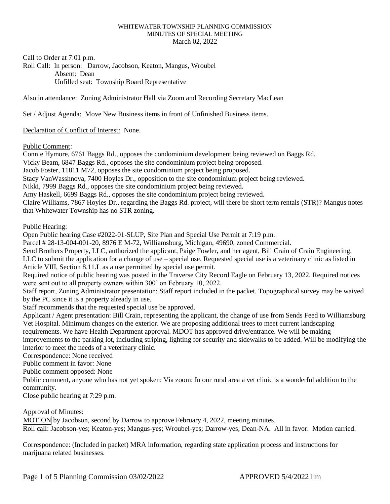#### WHITEWATER TOWNSHIP PLANNING COMMISSION MINUTES OF SPECIAL MEETING March 02, 2022

Call to Order at 7:01 p.m.

Roll Call: In person: Darrow, Jacobson, Keaton, Mangus, Wroubel Absent: Dean Unfilled seat: Township Board Representative

Also in attendance: Zoning Administrator Hall via Zoom and Recording Secretary MacLean

Set / Adjust Agenda: Move New Business items in front of Unfinished Business items.

Declaration of Conflict of Interest: None.

### Public Comment:

Connie Hymore, 6761 Baggs Rd., opposes the condominium development being reviewed on Baggs Rd. Vicky Beam, 6847 Baggs Rd., opposes the site condominium project being proposed. Jacob Foster, 11811 M72, opposes the site condominium project being proposed. Stacy VanWasshnova, 7400 Hoyles Dr., opposition to the site condominium project being reviewed. Nikki, 7999 Baggs Rd., opposes the site condominium project being reviewed. Amy Haskell, 6699 Baggs Rd., opposes the site condominium project being reviewed. Claire Williams, 7867 Hoyles Dr., regarding the Baggs Rd. project, will there be short term rentals (STR)? Mangus notes that Whitewater Township has no STR zoning.

### Public Hearing:

Open Public hearing Case #2022-01-SLUP, Site Plan and Special Use Permit at 7:19 p.m.

Parcel # 28-13-004-001-20, 8976 E M-72, Williamsburg, Michigan, 49690, zoned Commercial.

Send Brothers Property, LLC, authorized the applicant, Paige Fowler, and her agent, Bill Crain of Crain Engineering, LLC to submit the application for a change of use – special use. Requested special use is a veterinary clinic as listed in Article VIII, Section 8.11.L as a use permitted by special use permit.

Required notice of public hearing was posted in the Traverse City Record Eagle on February 13, 2022. Required notices were sent out to all property owners within 300' on February 10, 2022.

Staff report, Zoning Administrator presentation: Staff report included in the packet. Topographical survey may be waived by the PC since it is a property already in use.

Staff recommends that the requested special use be approved.

Applicant / Agent presentation: Bill Crain, representing the applicant, the change of use from Sends Feed to Williamsburg Vet Hospital. Minimum changes on the exterior. We are proposing additional trees to meet current landscaping requirements. We have Health Department approval. MDOT has approved drive/entrance. We will be making improvements to the parking lot, including striping, lighting for security and sidewalks to be added. Will be modifying the interior to meet the needs of a veterinary clinic.

Correspondence: None received

Public comment in favor: None

Public comment opposed: None

Public comment, anyone who has not yet spoken: Via zoom: In our rural area a vet clinic is a wonderful addition to the community.

Close public hearing at 7:29 p.m.

# Approval of Minutes:

MOTION by Jacobson, second by Darrow to approve February 4, 2022, meeting minutes. Roll call: Jacobson-yes; Keaton-yes; Mangus-yes; Wroubel-yes; Darrow-yes; Dean-NA. All in favor. Motion carried.

Correspondence: (Included in packet) MRA information, regarding state application process and instructions for marijuana related businesses.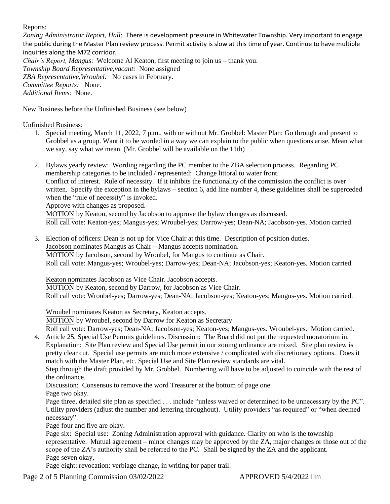### Reports:

*Zoning Administrator Report, Hall*: There is development pressure in Whitewater Township. Very important to engage the public during the Master Plan review process. Permit activity is slow at this time of year. Continue to have multiple inquiries along the M72 corridor.

*Chair's Report, Mangus*: Welcome Al Keaton, first meeting to join us – thank you. *Township Board Representative,vacant:* None assigned *ZBA Representative,Wroubel:* No cases in February. *Committee Reports:* None. *Additional Items:* None.

New Business before the Unfinished Business (see below)

Unfinished Business:

- 1. Special meeting, March 11, 2022, 7 p.m., with or without Mr. Grobbel: Master Plan: Go through and present to Grobbel as a group. Want it to be worded in a way we can explain to the public when questions arise. Mean what we say, say what we mean. (Mr. Grobbel will be available on the 11th)
- 2. Bylaws yearly review: Wording regarding the PC member to the ZBA selection process. Regarding PC membership categories to be included / represented: Change littoral to water front. Conflict of interest. Rule of necessity. If it inhibits the functionality of the commission the conflict is over written. Specify the exception in the bylaws – section 6, add line number 4, these guidelines shall be superceded when the "rule of necessity" is invoked. Approve with changes as proposed. MOTION by Keaton, second by Jacobson to approve the bylaw changes as discussed.

Roll call vote: Keaton-yes; Mangus-yes; Wroubel-yes; Darrow-yes; Dean-NA; Jacobson-yes. Motion carried.

3. Election of officers: Dean is not up for Vice Chair at this time. Description of position duties. Jacobson nominates Mangus as Chair – Mangus accepts nomination. MOTION by Jacobson, second by Wroubel, for Mangus to continue as Chair. Roll call vote: Mangus-yes; Wroubel-yes; Darrow-yes; Dean-NA; Jacobson-yes; Keaton-yes. Motion carried.

Keaton nominates Jacobson as Vice Chair. Jacobson accepts. MOTION by Keaton, second by Darrow, for Jacobson as Vice Chair. Roll call vote: Wroubel-yes; Darrow-yes; Dean-NA; Jacobson-yes; Keaton-yes; Mangus-yes. Motion carried.

Wroubel nominates Keaton as Secretary, Keaton accepts.

MOTION by Wroubel, second by Darrow for Keaton as Secretary

Roll call vote: Darrow-yes; Dean-NA; Jacobson-yes; Keaton-yes; Mangus-yes. Wroubel-yes. Motion carried. 4. Article 25, Special Use Permits guidelines. Discussion: The Board did not put the requested moratorium in.

Explanation: Site Plan review and Special Use permit in our zoning ordinance are mixed. Site plan review is pretty clear cut. Special use permits are much more extensive / complicated with discretionary options. Does it match with the Master Plan, etc. Special Use and Site Plan review standards are vital.

Step through the draft provided by Mr. Grobbel. Numbering will have to be adjusted to coincide with the rest of the ordinance.

Discussion: Consensus to remove the word Treasurer at the bottom of page one.

Page two okay.

Page three, detailed site plan as specified . . . include "unless waived or determined to be unnecessary by the PC". Utility providers (adjust the number and lettering throughout). Utility providers "as required" or "when deemed necessary".

Page four and five are okay.

Page six: Special use: Zoning Administration approval with guidance. Clarity on who is the township representative. Mutual agreement – minor changes may be approved by the ZA, major changes or those out of the scope of the ZA's authority shall be referred to the PC. Shall be signed by the ZA and the applicant. Page seven okay,

Page eight: revocation: verbiage change, in writing for paper trail.

Page 2 of 5 Planning Commission 03/02/2022 <br>APPROVED 5/4/2022 llm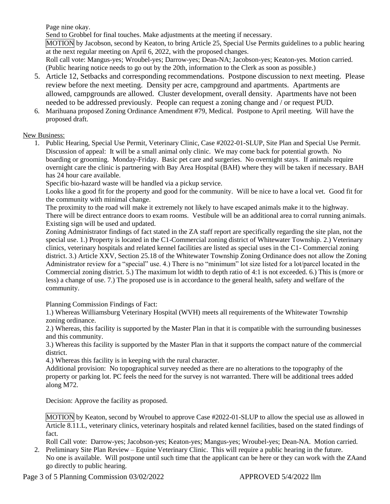Page nine okay.

Send to Grobbel for final touches. Make adjustments at the meeting if necessary. MOTION by Jacobson, second by Keaton, to bring Article 25, Special Use Permits guidelines to a public hearing at the next regular meeting on April 6, 2022, with the proposed changes. Roll call vote: Mangus-yes; Wroubel-yes; Darrow-yes; Dean-NA; Jacobson-yes; Keaton-yes. Motion carried.

(Public hearing notice needs to go out by the 20th, information to the Clerk as soon as possible.)

- 5. Article 12, Setbacks and corresponding recommendations. Postpone discussion to next meeting. Please review before the next meeting. Density per acre, campground and apartments. Apartments are allowed, campgrounds are allowed. Cluster development, overall density. Apartments have not been needed to be addressed previously. People can request a zoning change and / or request PUD.
- 6. Marihuana proposed Zoning Ordinance Amendment #79, Medical. Postpone to April meeting. Will have the proposed draft.

## New Business:

1. Public Hearing, Special Use Permit, Veterinary Clinic, Case #2022-01-SLUP, Site Plan and Special Use Permit. Discussion of appeal: It will be a small animal only clinic. We may come back for potential growth. No boarding or grooming. Monday-Friday. Basic pet care and surgeries. No overnight stays. If animals require overnight care the clinic is partnering with Bay Area Hospital (BAH) where they will be taken if necessary. BAH has 24 hour care available.

Specific bio-hazard waste will be handled via a pickup service.

Looks like a good fit for the property and good for the community. Will be nice to have a local vet. Good fit for the community with minimal change.

The proximity to the road will make it extremely not likely to have escaped animals make it to the highway. There will be direct entrance doors to exam rooms. Vestibule will be an additional area to corral running animals. Existing sign will be used and updated.

Zoning Administrator findings of fact stated in the ZA staff report are specifically regarding the site plan, not the special use. 1.) Property is located in the C1-Commercial zoning district of Whitewater Township. 2.) Veterinary clinics, veterinary hospitals and related kennel facilities are listed as special uses in the C1- Commercial zoning district. 3.) Article XXV, Section 25.18 of the Whitewater Township Zoning Ordinance does not allow the Zoning Administrator review for a "special" use. 4.) There is no "minimum" lot size listed for a lot/parcel located in the Commercial zoning district. 5.) The maximum lot width to depth ratio of 4:1 is not exceeded. 6.) This is (more or less) a change of use. 7.) The proposed use is in accordance to the general health, safety and welfare of the community.

Planning Commission Findings of Fact:

1.) Whereas Williamsburg Veterinary Hospital (WVH) meets all requirements of the Whitewater Township zoning ordinance.

2.) Whereas, this facility is supported by the Master Plan in that it is compatible with the surrounding businesses and this community.

3.) Whereas this facility is supported by the Master Plan in that it supports the compact nature of the commercial district.

4.) Whereas this facility is in keeping with the rural character.

Additional provision: No topographical survey needed as there are no alterations to the topography of the property or parking lot. PC feels the need for the survey is not warranted. There will be additional trees added along M72.

Decision: Approve the facility as proposed.

MOTION by Keaton, second by Wroubel to approve Case #2022-01-SLUP to allow the special use as allowed in Article 8.11.L, veterinary clinics, veterinary hospitals and related kennel facilities, based on the stated findings of fact.

Roll Call vote: Darrow-yes; Jacobson-yes; Keaton-yes; Mangus-yes; Wroubel-yes; Dean-NA. Motion carried.

2. Preliminary Site Plan Review – Equine Veterinary Clinic. This will require a public hearing in the future. No one is available. Will postpone until such time that the applicant can be here or they can work with the ZAand go directly to public hearing.

Page 3 of 5 Planning Commission 03/02/2022 <br>APPROVED 5/4/2022 llm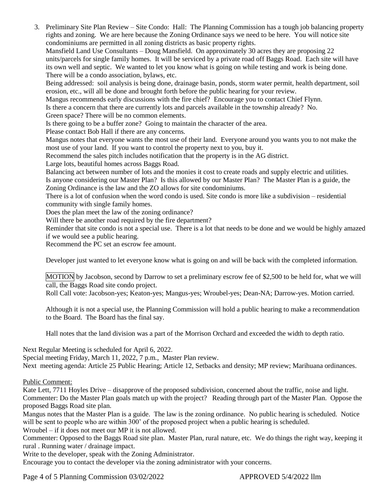3. Preliminary Site Plan Review – Site Condo: Hall: The Planning Commission has a tough job balancing property rights and zoning. We are here because the Zoning Ordinance says we need to be here. You will notice site condominiums are permitted in all zoning districts as basic property rights.

Mansfield Land Use Consultants – Doug Mansfield. On approximately 30 acres they are proposing 22 units/parcels for single family homes. It will be serviced by a private road off Baggs Road. Each site will have its own well and septic. We wanted to let you know what is going on while testing and work is being done. There will be a condo association, bylaws, etc.

Being addressed: soil analysis is being done, drainage basin, ponds, storm water permit, health department, soil erosion, etc., will all be done and brought forth before the public hearing for your review.

Mangus recommends early discussions with the fire chief? Encourage you to contact Chief Flynn.

Is there a concern that there are currently lots and parcels available in the township already? No.

Green space? There will be no common elements.

Is there going to be a buffer zone? Going to maintain the character of the area.

Please contact Bob Hall if there are any concerns.

Mangus notes that everyone wants the most use of their land. Everyone around you wants you to not make the most use of your land. If you want to control the property next to you, buy it.

Recommend the sales pitch includes notification that the property is in the AG district.

Large lots, beautiful homes across Baggs Road.

Balancing act between number of lots and the monies it cost to create roads and supply electric and utilities. Is anyone considering our Master Plan? Is this allowed by our Master Plan? The Master Plan is a guide, the Zoning Ordinance is the law and the ZO allows for site condominiums.

There is a lot of confusion when the word condo is used. Site condo is more like a subdivision – residential community with single family homes.

Does the plan meet the law of the zoning ordinance?

Will there be another road required by the fire department?

Reminder that site condo is not a special use. There is a lot that needs to be done and we would be highly amazed if we would see a public hearing.

Recommend the PC set an escrow fee amount.

Developer just wanted to let everyone know what is going on and will be back with the completed information.

MOTION by Jacobson, second by Darrow to set a preliminary escrow fee of \$2,500 to be held for, what we will call, the Baggs Road site condo project.

Roll Call vote: Jacobson-yes; Keaton-yes; Mangus-yes; Wroubel-yes; Dean-NA; Darrow-yes. Motion carried.

Although it is not a special use, the Planning Commission will hold a public hearing to make a recommendation to the Board. The Board has the final say.

Hall notes that the land division was a part of the Morrison Orchard and exceeded the width to depth ratio.

Next Regular Meeting is scheduled for April 6, 2022.

Special meeting Friday, March 11, 2022, 7 p.m., Master Plan review.

Next meeting agenda: Article 25 Public Hearing; Article 12, Setbacks and density; MP review; Marihuana ordinances.

### Public Comment:

Kate Lett, 7711 Hoyles Drive – disapprove of the proposed subdivision, concerned about the traffic, noise and light. Commenter: Do the Master Plan goals match up with the project? Reading through part of the Master Plan. Oppose the proposed Baggs Road site plan.

Mangus notes that the Master Plan is a guide. The law is the zoning ordinance. No public hearing is scheduled. Notice will be sent to people who are within 300' of the proposed project when a public hearing is scheduled.

Wroubel – if it does not meet our MP it is not allowed.

Commenter: Opposed to the Baggs Road site plan. Master Plan, rural nature, etc. We do things the right way, keeping it rural . Running water / drainage impact.

Write to the developer, speak with the Zoning Administrator.

Encourage you to contact the developer via the zoning administrator with your concerns.

Page 4 of 5 Planning Commission 03/02/2022 <br>APPROVED 5/4/2022 llm